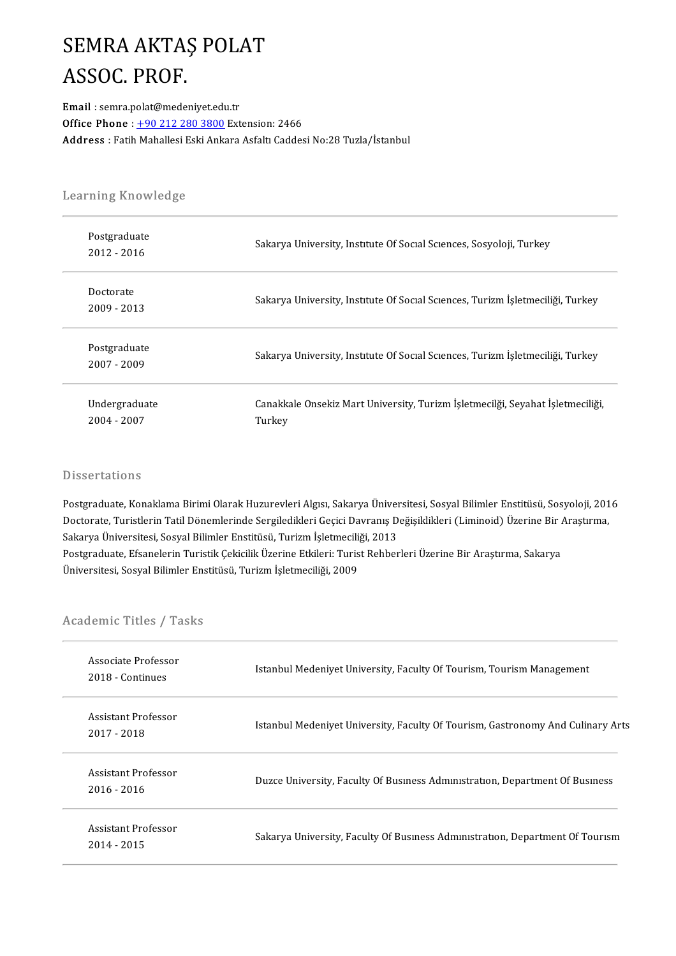#### SEMRA AKTAŞ POLAT SEMRA AKTAS<br>ASSOC. PROF.<br>Email : semra.polat@meder ASSOC. PROF.<br>Email : semra.polat@medeniyet.edu.tr

Office Phone: +90 212 280 3800 Extension: 2466 Address : Fatih Mahallesi Eski Ankara Asfaltı Caddesi No:28 Tuzla/İstanbul

# .<br>Learning Knowledge

| Learning Knowledge           |                                                                                          |  |  |
|------------------------------|------------------------------------------------------------------------------------------|--|--|
| Postgraduate<br>2012 - 2016  | Sakarya University, Institute Of Social Sciences, Sosyoloji, Turkey                      |  |  |
| Doctorate<br>2009 - 2013     | Sakarya University, Institute Of Social Sciences, Turizm İşletmeciliği, Turkey           |  |  |
| Postgraduate<br>2007 - 2009  | Sakarya University, Institute Of Social Sciences, Turizm İşletmeciliği, Turkey           |  |  |
| Undergraduate<br>2004 - 2007 | Canakkale Onsekiz Mart University, Turizm İşletmecilği, Seyahat İşletmeciliği,<br>Turkey |  |  |

#### **Dissertations**

Dissertations<br>Postgraduate, Konaklama Birimi Olarak Huzurevleri Algısı, Sakarya Üniversitesi, Sosyal Bilimler Enstitüsü, Sosyoloji, 2016<br>Destarate Turistlerin Tatil Dönamlerinde Sorsiledikleri Cesisi Dayranıs Değişiklikler Dissel tationis<br>Postgraduate, Konaklama Birimi Olarak Huzurevleri Algısı, Sakarya Üniversitesi, Sosyal Bilimler Enstitüsü, Sosyoloji, 201<br>Doctorate, Turistlerin Tatil Dönemlerinde Sergiledikleri Geçici Davranış Değişiklikl Postgraduate, Konaklama Birimi Olarak Huzurevleri Algısı, Sakarya Üniver<br>Doctorate, Turistlerin Tatil Dönemlerinde Sergiledikleri Geçici Davranış D<br>Sakarya Üniversitesi, Sosyal Bilimler Enstitüsü, Turizm İşletmeciliği, 201 Doctorate, Turistlerin Tatil Dönemlerinde Sergiledikleri Geçici Davranış Değişiklikleri (Liminoid) Üzerine Bir Araştırma, Sakarya Üniversitesi, Sosyal Bilimler Enstitüsü, Turizm İşletmeciliği, 2013<br>Postgraduate, Efsaneleri Sakarya Üniversitesi, Sosyal Bilimler Enstitüsü, Turizm İşletmeciliği, 2013

# oniversitest, sosyal blimler ens<br>Academic Titles / Tasks

| Associate Professor<br>2018 Continues | Istanbul Medeniyet University, Faculty Of Tourism, Tourism Management           |
|---------------------------------------|---------------------------------------------------------------------------------|
| Assistant Professor<br>2017 - 2018    | Istanbul Medeniyet University, Faculty Of Tourism, Gastronomy And Culinary Arts |
| Assistant Professor<br>2016 - 2016    | Duzce University, Faculty Of Business Administration, Department Of Business    |
| Assistant Professor<br>2014 - 2015    | Sakarya University, Faculty Of Business Administration, Department Of Tourism   |